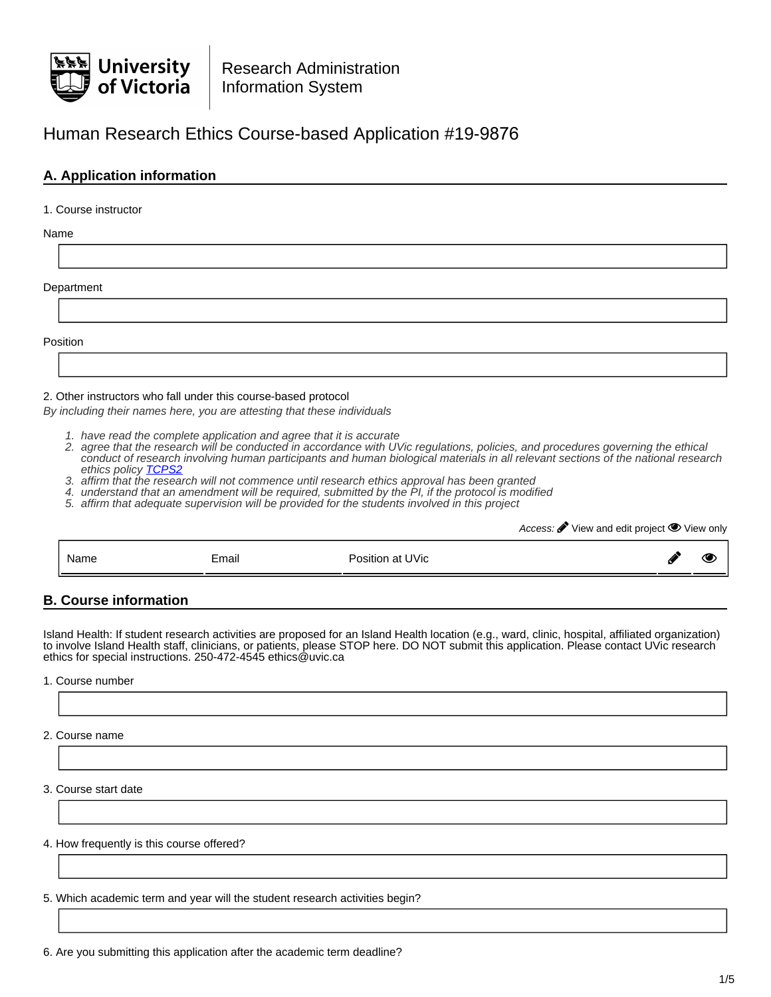

# Human Research Ethics Course-based Application #19-9876

## **A. Application information**

### 1. Course instructor

Name

**Department** 

Position

### 2. Other instructors who fall under this course-based protocol

By including their names here, you are attesting that these individuals

- 1. have read the complete application and agree that it is accurate
- 2. agree that the research will be conducted in accordance with UVic regulations, policies, and procedures governing the ethical conduct of research involving human participants and human biological materials in all relevant sections of the national research ethics policy [TCPS2](http://www.pre.ethics.gc.ca/eng/policy-politique/initiatives/tcps2-eptc2/Default/)
- 3. affirm that the research will not commence until research ethics approval has been granted
- 4. understand that an amendment will be required, submitted by the PI, if the protocol is modified
- 5. affirm that adequate supervision will be provided for the students involved in this project

Access:  $\mathscr{F}$  View and edit project  $\mathscr{D}$  View only

|  | Name | Email | Position at UVic | Đ | Æ<br>ч |
|--|------|-------|------------------|---|--------|
|--|------|-------|------------------|---|--------|

## **B. Course information**

Island Health: If student research activities are proposed for an Island Health location (e.g., ward, clinic, hospital, affiliated organization) to involve Island Health staff, clinicians, or patients, please STOP here. DO NOT submit this application. Please contact UVic research ethics for special instructions. 250-472-4545 ethics@uvic.ca

1. Course number

2. Course name

3. Course start date

4. How frequently is this course offered?

5. Which academic term and year will the student research activities begin?

6. Are you submitting this application after the academic term deadline?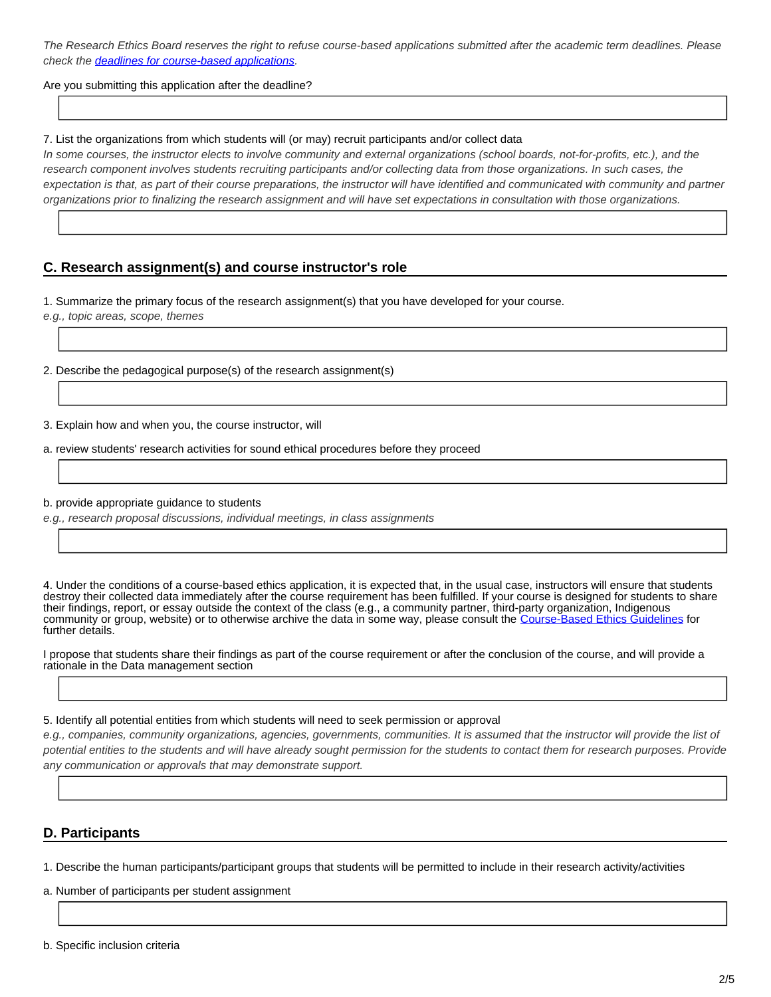The Research Ethics Board reserves the right to refuse course-based applications submitted after the academic term deadlines. Please check the **deadlines for course-based applications**.

Are you submitting this application after the deadline?

### 7. List the organizations from which students will (or may) recruit participants and/or collect data

In some courses, the instructor elects to involve community and external organizations (school boards, not-for-profits, etc.), and the research component involves students recruiting participants and/or collecting data from those organizations. In such cases, the expectation is that, as part of their course preparations, the instructor will have identified and communicated with community and partner organizations prior to finalizing the research assignment and will have set expectations in consultation with those organizations.

## **C. Research assignment(s) and course instructor's role**

1. Summarize the primary focus of the research assignment(s) that you have developed for your course.

e.g., topic areas, scope, themes

2. Describe the pedagogical purpose(s) of the research assignment(s)

3. Explain how and when you, the course instructor, will

a. review students' research activities for sound ethical procedures before they proceed

b. provide appropriate guidance to students

e.g., research proposal discussions, individual meetings, in class assignments

4. Under the conditions of a course-based ethics application, it is expected that, in the usual case, instructors will ensure that students destroy their collected data immediately after the course requirement has been fulfilled. If your course is designed for students to share their findings, report, or essay outside the context of the class (e.g., a community partner, third-party organization, Indigenous community or group, website) or to otherwise archive the data in some way, please consult the [Course-Based Ethics Guidelines](https://www.uvic.ca/research/assets/docs/Ethics/Guidelines%20for%20Course-based%20Research.pdf) for further details.

I propose that students share their findings as part of the course requirement or after the conclusion of the course, and will provide a rationale in the Data management section

5. Identify all potential entities from which students will need to seek permission or approval

e.g., companies, community organizations, agencies, governments, communities. It is assumed that the instructor will provide the list of potential entities to the students and will have already sought permission for the students to contact them for research purposes. Provide any communication or approvals that may demonstrate support.

## **D. Participants**

1. Describe the human participants/participant groups that students will be permitted to include in their research activity/activities

a. Number of participants per student assignment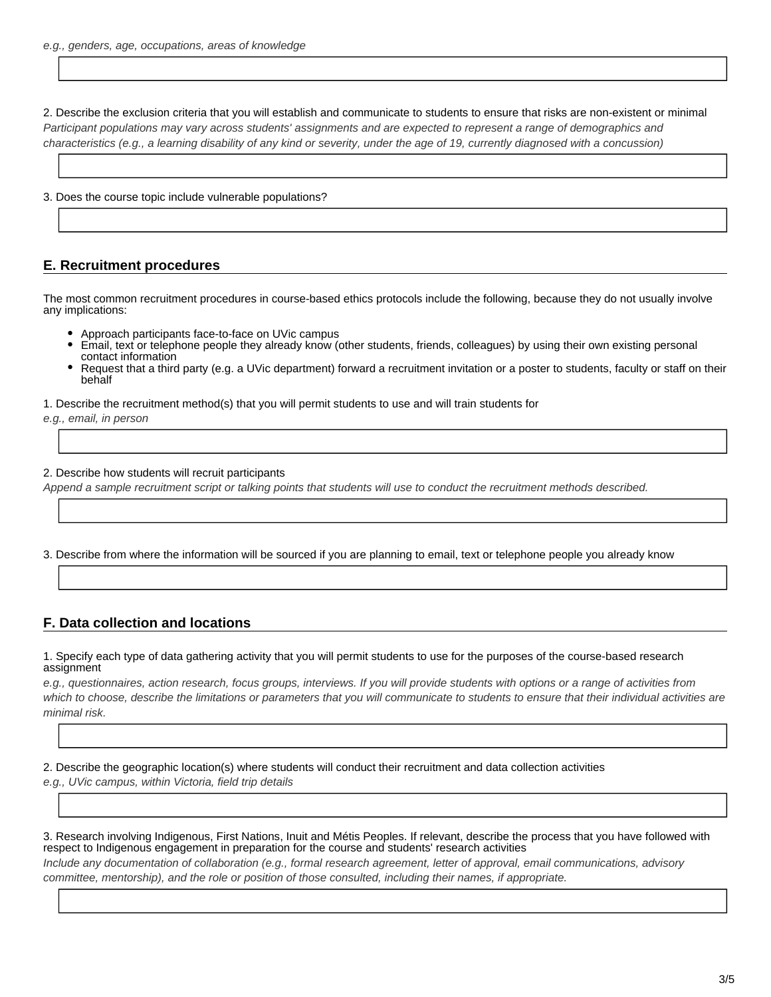2. Describe the exclusion criteria that you will establish and communicate to students to ensure that risks are non-existent or minimal Participant populations may vary across students' assignments and are expected to represent a range of demographics and characteristics (e.g., a learning disability of any kind or severity, under the age of 19, currently diagnosed with a concussion)

3. Does the course topic include vulnerable populations?

### **E. Recruitment procedures**

The most common recruitment procedures in course-based ethics protocols include the following, because they do not usually involve any implications:

- Approach participants face-to-face on UVic campus
- Email, text or telephone people they already know (other students, friends, colleagues) by using their own existing personal contact information
- Request that a third party (e.g. a UVic department) forward a recruitment invitation or a poster to students, faculty or staff on their behalf

1. Describe the recruitment method(s) that you will permit students to use and will train students for

e.g., email, in person

#### 2. Describe how students will recruit participants

Append a sample recruitment script or talking points that students will use to conduct the recruitment methods described.

3. Describe from where the information will be sourced if you are planning to email, text or telephone people you already know

### **F. Data collection and locations**

1. Specify each type of data gathering activity that you will permit students to use for the purposes of the course-based research assignment

e.g., questionnaires, action research, focus groups, interviews. If you will provide students with options or a range of activities from which to choose, describe the limitations or parameters that you will communicate to students to ensure that their individual activities are minimal risk.

2. Describe the geographic location(s) where students will conduct their recruitment and data collection activities e.g., UVic campus, within Victoria, field trip details

3. Research involving Indigenous, First Nations, Inuit and Métis Peoples. If relevant, describe the process that you have followed with respect to Indigenous engagement in preparation for the course and students' research activities

Include any documentation of collaboration (e.g., formal research agreement, letter of approval, email communications, advisory committee, mentorship), and the role or position of those consulted, including their names, if appropriate.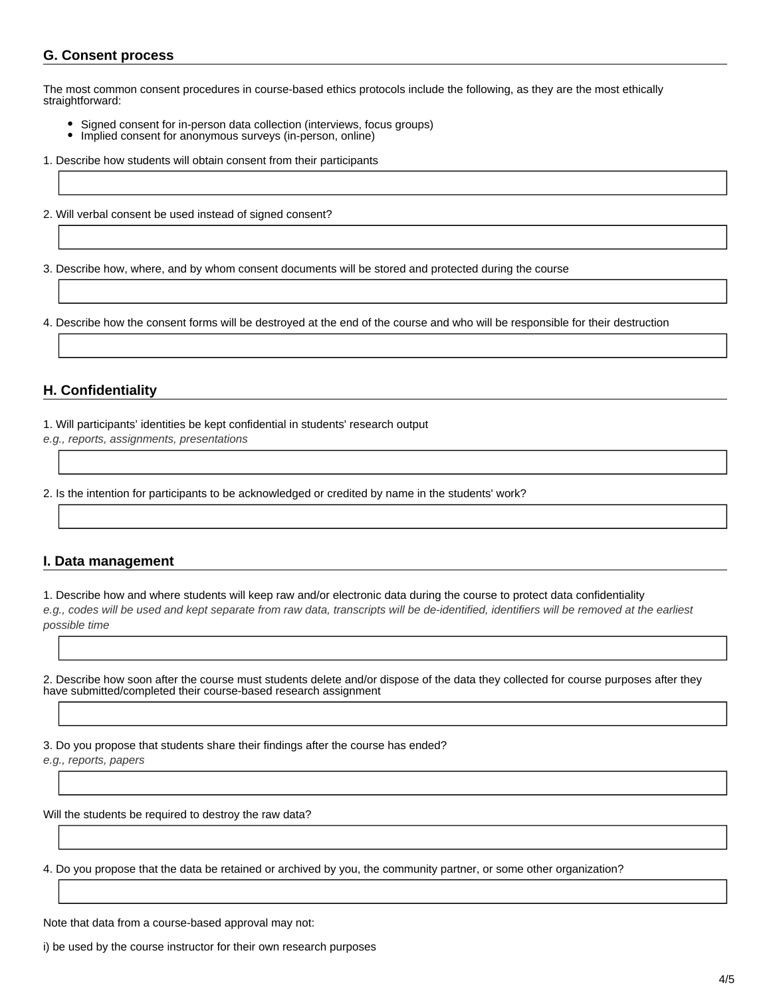## **G. Consent process**

The most common consent procedures in course-based ethics protocols include the following, as they are the most ethically straightforward:

- Signed consent for in-person data collection (interviews, focus groups)
- Implied consent for anonymous surveys (in-person, online)
- 1. Describe how students will obtain consent from their participants
- 2. Will verbal consent be used instead of signed consent?

3. Describe how, where, and by whom consent documents will be stored and protected during the course

4. Describe how the consent forms will be destroyed at the end of the course and who will be responsible for their destruction

## **H. Confidentiality**

1. Will participants' identities be kept confidential in students' research output

e.g., reports, assignments, presentations

2. Is the intention for participants to be acknowledged or credited by name in the students' work?

## **I. Data management**

1. Describe how and where students will keep raw and/or electronic data during the course to protect data confidentiality e.g., codes will be used and kept separate from raw data, transcripts will be de-identified, identifiers will be removed at the earliest possible time

2. Describe how soon after the course must students delete and/or dispose of the data they collected for course purposes after they have submitted/completed their course-based research assignment

3. Do you propose that students share their findings after the course has ended?

e.g., reports, papers

Will the students be required to destroy the raw data?

4. Do you propose that the data be retained or archived by you, the community partner, or some other organization?

Note that data from a course-based approval may not:

i) be used by the course instructor for their own research purposes